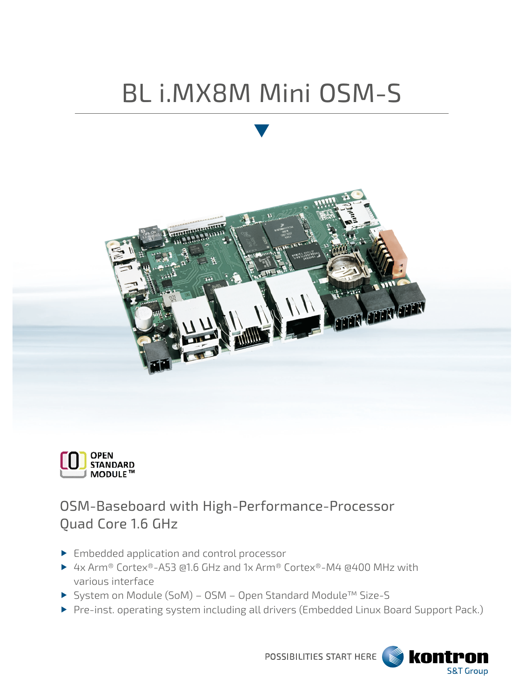# BL i.MX8M Mini OSM-S





OSM-Baseboard with High-Performance-Processor Quad Core 1.6 GHz

- **Embedded application and control processor**
- ▶ 4x Arm® Cortex®-A53 @1.6 GHz and 1x Arm® Cortex®-M4 @400 MHz with various interface
- System on Module (SoM) OSM Open Standard Module™ Size-S
- Pre-inst. operating system including all drivers (Embedded Linux Board Support Pack.)

POSSIBILITIES START HERE